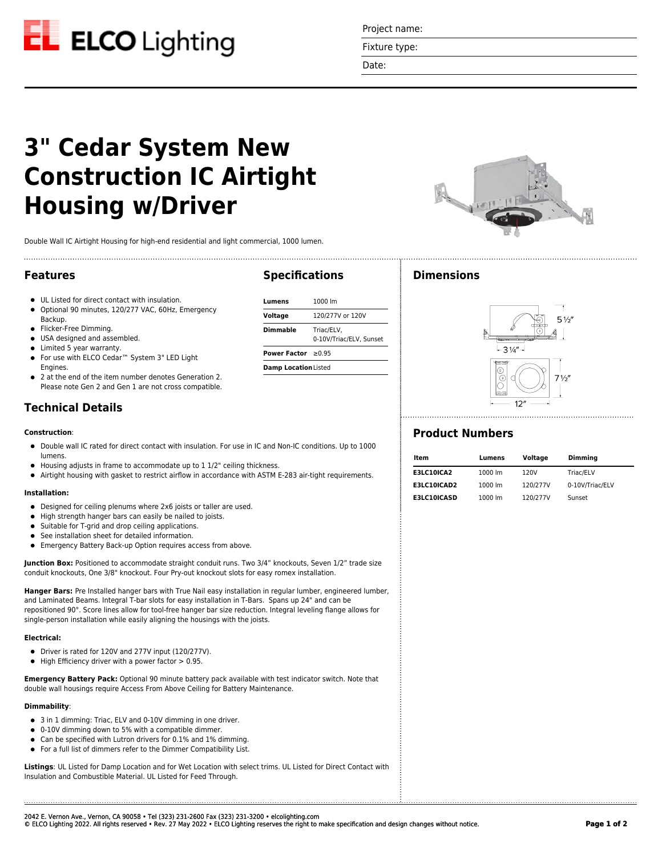

Project name:

Fixture type:

Date:

**Specifications**

**Lumens** 1000 lm **Voltage** 120/277V or 120V **Dimmable** Triac/ELV,

**Power Factor** ≥0.95 **Damp Location**Listed

0-10V/Triac/ELV, Sunset

# **3" Cedar System New Construction IC Airtight Housing w/Driver**

Double Wall IC Airtight Housing for high-end residential and light commercial, 1000 lumen.

### **Features**

- UL Listed for direct contact with insulation.
- Optional 90 minutes, 120/277 VAC, 60Hz, Emergency Backup.
- **•** Flicker-Free Dimming.
- USA designed and assembled.
- Limited 5 year warranty.
- For use with ELCO Cedar™ System 3" LED Light Engines.
- 2 at the end of the item number denotes Generation 2. Please note Gen 2 and Gen 1 are not cross compatible.

# **Technical Details**

#### **Construction**:

- Double wall IC rated for direct contact with insulation. For use in IC and Non-IC conditions. Up to 1000 lumens.
- Housing adjusts in frame to accommodate up to 1 1/2" ceiling thickness.
- Airtight housing with gasket to restrict airflow in accordance with ASTM E-283 air-tight requirements.

#### **Installation:**

- Designed for ceiling plenums where 2x6 joists or taller are used.
- High strength hanger bars can easily be nailed to joists.
- $\bullet$ Suitable for T-grid and drop ceiling applications.
- See installation sheet for detailed information.
- Emergency Battery Back-up Option requires access from above.

**Junction Box:** Positioned to accommodate straight conduit runs. Two 3/4" knockouts, Seven 1/2" trade size conduit knockouts, One 3/8" knockout. Four Pry-out knockout slots for easy romex installation.

**Hanger Bars:** Pre Installed hanger bars with True Nail easy installation in regular lumber, engineered lumber, and Laminated Beams. Integral T-bar slots for easy installation in T-Bars. Spans up 24" and can be repositioned 90°. Score lines allow for tool-free hanger bar size reduction. Integral leveling flange allows for single-person installation while easily aligning the housings with the joists.

#### **Electrical:**

- Driver is rated for 120V and 277V input (120/277V).
- $\bullet$  High Efficiency driver with a power factor  $> 0.95$ .

**Emergency Battery Pack:** Optional 90 minute battery pack available with test indicator switch. Note that double wall housings require Access From Above Ceiling for Battery Maintenance.

#### **Dimmability**:

- 3 in 1 dimming: Triac, ELV and 0-10V dimming in one driver.
- 0-10V dimming down to 5% with a compatible dimmer.  $\bullet$
- Can be specified with Lutron drivers for 0.1% and 1% dimming.
- For a full list of dimmers refer to the Dimmer Compatibility List.

**Listings**: UL Listed for Damp Location and for Wet Location with select trims. UL Listed for Direct Contact with Insulation and Combustible Material. UL Listed for Feed Through.



# **Dimensions**



## **Product Numbers**

| ltem               | Lumens  | Voltage  | <b>Dimming</b>  |
|--------------------|---------|----------|-----------------|
| E3LC10ICA2         | 1000 lm | 120V     | Triac/ELV       |
| E3LC10ICAD2        | 1000 lm | 120/277V | 0-10V/Triac/ELV |
| <b>E3LC10ICASD</b> | 1000 lm | 120/277V | Sunset          |